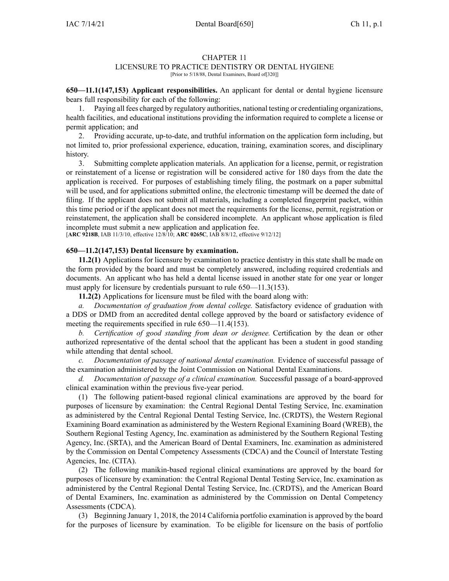### CHAPTER 11

## LICENSURE TO PRACTICE DENTISTRY OR DENTAL HYGIENE

[Prior to 5/18/88, Dental Examiners, Board of[320]]

**650—11.1(147,153) Applicant responsibilities.** An applicant for dental or dental hygiene licensure bears full responsibility for each of the following:

1. Paying all fees charged by regulatory authorities, national testing or credentialing organizations, health facilities, and educational institutions providing the information required to complete <sup>a</sup> license or permit application; and

2. Providing accurate, up-to-date, and truthful information on the application form including, but not limited to, prior professional experience, education, training, examination scores, and disciplinary history.

3. Submitting complete application materials. An application for <sup>a</sup> license, permit, or registration or reinstatement of <sup>a</sup> license or registration will be considered active for 180 days from the date the application is received. For purposes of establishing timely filing, the postmark on <sup>a</sup> paper submittal will be used, and for applications submitted online, the electronic timestamp will be deemed the date of filing. If the applicant does not submit all materials, including <sup>a</sup> completed fingerprint packet, within this time period or if the applicant does not meet the requirements for the license, permit, registration or reinstatement, the application shall be considered incomplete. An applicant whose application is filed incomplete must submit <sup>a</sup> new application and application fee.

[**ARC [9218B](https://www.legis.iowa.gov/docs/aco/arc/9218B.pdf)**, IAB 11/3/10, effective 12/8/10; **ARC [0265C](https://www.legis.iowa.gov/docs/aco/arc/0265C.pdf)**, IAB 8/8/12, effective 9/12/12]

#### **650—11.2(147,153) Dental licensure by examination.**

**11.2(1)** Applications for licensure by examination to practice dentistry in this state shall be made on the form provided by the board and must be completely answered, including required credentials and documents. An applicant who has held <sup>a</sup> dental license issued in another state for one year or longer must apply for licensure by credentials pursuant to rule 650–11.3(153).

**11.2(2)** Applications for licensure must be filed with the board along with:

*a. Documentation of graduation from dental college.* Satisfactory evidence of graduation with <sup>a</sup> DDS or DMD from an accredited dental college approved by the board or satisfactory evidence of meeting the requirements specified in rule [650—11.4\(153\)](https://www.legis.iowa.gov/docs/iac/rule/650.11.4.pdf).

*b. Certification of good standing from dean or designee.* Certification by the dean or other authorized representative of the dental school that the applicant has been <sup>a</sup> student in good standing while attending that dental school.

*c. Documentation of passage of national dental examination.* Evidence of successful passage of the examination administered by the Joint Commission on National Dental Examinations.

*d. Documentation of passage of <sup>a</sup> clinical examination.* Successful passage of <sup>a</sup> board-approved clinical examination within the previous five-year period.

(1) The following patient-based regional clinical examinations are approved by the board for purposes of licensure by examination: the Central Regional Dental Testing Service, Inc. examination as administered by the Central Regional Dental Testing Service, Inc. (CRDTS), the Western Regional Examining Board examination as administered by the Western Regional Examining Board (WREB), the Southern Regional Testing Agency, Inc. examination as administered by the Southern Regional Testing Agency, Inc. (SRTA), and the American Board of Dental Examiners, Inc. examination as administered by the Commission on Dental Competency Assessments (CDCA) and the Council of Interstate Testing Agencies, Inc. (CITA).

(2) The following manikin-based regional clinical examinations are approved by the board for purposes of licensure by examination: the Central Regional Dental Testing Service, Inc. examination as administered by the Central Regional Dental Testing Service, Inc. (CRDTS), and the American Board of Dental Examiners, Inc. examination as administered by the Commission on Dental Competency Assessments (CDCA).

(3) Beginning January 1, 2018, the 2014 California portfolio examination is approved by the board for the purposes of licensure by examination. To be eligible for licensure on the basis of portfolio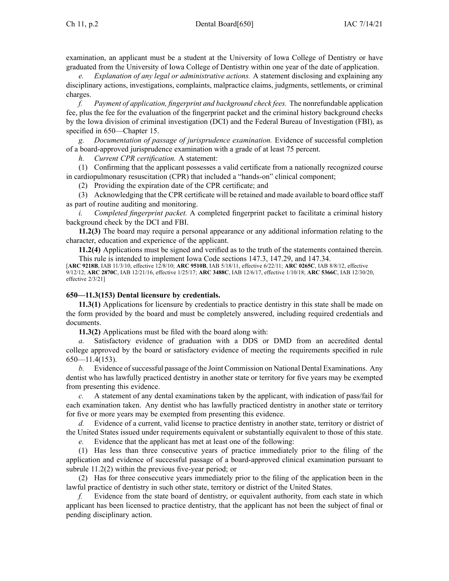examination, an applicant must be <sup>a</sup> student at the University of Iowa College of Dentistry or have graduated from the University of Iowa College of Dentistry within one year of the date of application.

*e. Explanation of any legal or administrative actions.* A statement disclosing and explaining any disciplinary actions, investigations, complaints, malpractice claims, judgments, settlements, or criminal charges.

*f. Payment of application, fingerprint and background check fees.* The nonrefundable application fee, plus the fee for the evaluation of the fingerprint packet and the criminal history background checks by the Iowa division of criminal investigation (DCI) and the Federal Bureau of Investigation (FBI), as specified in [650—Chapter](https://www.legis.iowa.gov/docs/iac/chapter/650.15.pdf) 15.

*g. Documentation of passage of jurisprudence examination.* Evidence of successful completion of <sup>a</sup> board-approved jurisprudence examination with <sup>a</sup> grade of at least 75 percent.

*h. Current CPR certification.* A statement:

(1) Confirming that the applicant possesses <sup>a</sup> valid certificate from <sup>a</sup> nationally recognized course in cardiopulmonary resuscitation (CPR) that included <sup>a</sup> "hands-on" clinical component;

(2) Providing the expiration date of the CPR certificate; and

(3) Acknowledging that the CPR certificate will be retained and made available to board office staff as par<sup>t</sup> of routine auditing and monitoring.

*i. Completed fingerprint packet.* A completed fingerprint packet to facilitate <sup>a</sup> criminal history background check by the DCI and FBI.

**11.2(3)** The board may require <sup>a</sup> personal appearance or any additional information relating to the character, education and experience of the applicant.

**11.2(4)** Applications must be signed and verified as to the truth of the statements contained therein. This rule is intended to implement Iowa Code sections [147.3](https://www.legis.iowa.gov/docs/ico/section/147.3.pdf), [147.29](https://www.legis.iowa.gov/docs/ico/section/147.29.pdf), and [147.34](https://www.legis.iowa.gov/docs/ico/section/147.34.pdf).

[**ARC [9218B](https://www.legis.iowa.gov/docs/aco/arc/9218B.pdf)**, IAB 11/3/10, effective 12/8/10; **ARC [9510B](https://www.legis.iowa.gov/docs/aco/arc/9510B.pdf)**, IAB 5/18/11, effective 6/22/11; **ARC [0265C](https://www.legis.iowa.gov/docs/aco/arc/0265C.pdf)**, IAB 8/8/12, effective 9/12/12; **ARC [2870C](https://www.legis.iowa.gov/docs/aco/arc/2870C.pdf)**, IAB 12/21/16, effective 1/25/17; **ARC [3488C](https://www.legis.iowa.gov/docs/aco/arc/3488C.pdf)**, IAB 12/6/17, effective 1/10/18; **ARC [5366C](https://www.legis.iowa.gov/docs/aco/arc/5366C.pdf)**, IAB 12/30/20, effective 2/3/21]

# **650—11.3(153) Dental licensure by credentials.**

**11.3(1)** Applications for licensure by credentials to practice dentistry in this state shall be made on the form provided by the board and must be completely answered, including required credentials and documents.

**11.3(2)** Applications must be filed with the board along with:

*a.* Satisfactory evidence of graduation with <sup>a</sup> DDS or DMD from an accredited dental college approved by the board or satisfactory evidence of meeting the requirements specified in rule  $650$ —11.4(153).

*b.* Evidence of successful passage of the Joint Commission on National Dental Examinations. Any dentist who has lawfully practiced dentistry in another state or territory for five years may be exempted from presenting this evidence.

*c.* A statement of any dental examinations taken by the applicant, with indication of pass/fail for each examination taken. Any dentist who has lawfully practiced dentistry in another state or territory for five or more years may be exempted from presenting this evidence.

*d.* Evidence of <sup>a</sup> current, valid license to practice dentistry in another state, territory or district of the United States issued under requirements equivalent or substantially equivalent to those of this state.

*e.* Evidence that the applicant has met at least one of the following:

(1) Has less than three consecutive years of practice immediately prior to the filing of the application and evidence of successful passage of <sup>a</sup> board-approved clinical examination pursuan<sup>t</sup> to subrule [11.2\(2\)](https://www.legis.iowa.gov/docs/iac/rule/650.11.2.pdf) within the previous five-year period; or

(2) Has for three consecutive years immediately prior to the filing of the application been in the lawful practice of dentistry in such other state, territory or district of the United States.

*f.* Evidence from the state board of dentistry, or equivalent authority, from each state in which applicant has been licensed to practice dentistry, that the applicant has not been the subject of final or pending disciplinary action.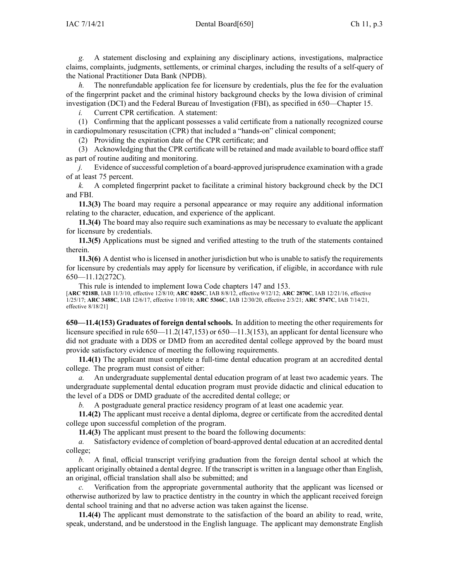*g.* A statement disclosing and explaining any disciplinary actions, investigations, malpractice claims, complaints, judgments, settlements, or criminal charges, including the results of <sup>a</sup> self-query of the National Practitioner Data Bank (NPDB).

*h.* The nonrefundable application fee for licensure by credentials, plus the fee for the evaluation of the fingerprint packet and the criminal history background checks by the Iowa division of criminal investigation (DCI) and the Federal Bureau of Investigation (FBI), as specified in [650—Chapter](https://www.legis.iowa.gov/docs/iac/chapter/650.15.pdf) 15.

*i.* Current CPR certification. A statement:

(1) Confirming that the applicant possesses <sup>a</sup> valid certificate from <sup>a</sup> nationally recognized course in cardiopulmonary resuscitation (CPR) that included <sup>a</sup> "hands-on" clinical component;

(2) Providing the expiration date of the CPR certificate; and

(3) Acknowledging that the CPR certificate will be retained and made available to board office staff as par<sup>t</sup> of routine auditing and monitoring.

*j.* Evidence of successful completion of a board-approved jurisprudence examination with a grade of at least 75 percent.

*k.* A completed fingerprint packet to facilitate <sup>a</sup> criminal history background check by the DCI and FBI.

**11.3(3)** The board may require <sup>a</sup> personal appearance or may require any additional information relating to the character, education, and experience of the applicant.

**11.3(4)** The board may also require such examinations as may be necessary to evaluate the applicant for licensure by credentials.

**11.3(5)** Applications must be signed and verified attesting to the truth of the statements contained therein.

**11.3(6)** A dentist who is licensed in another jurisdiction but who is unable to satisfy the requirements for licensure by credentials may apply for licensure by verification, if eligible, in accordance with rule [650—11.12](https://www.legis.iowa.gov/docs/iac/rule/650.11.12.pdf)(272C).

This rule is intended to implement Iowa Code chapters [147](https://www.legis.iowa.gov/docs/ico/chapter/147.pdf) and [153](https://www.legis.iowa.gov/docs/ico/chapter/153.pdf).

[**ARC [9218B](https://www.legis.iowa.gov/docs/aco/arc/9218B.pdf)**, IAB 11/3/10, effective 12/8/10; **ARC [0265C](https://www.legis.iowa.gov/docs/aco/arc/0265C.pdf)**, IAB 8/8/12, effective 9/12/12; **ARC [2870C](https://www.legis.iowa.gov/docs/aco/arc/2870C.pdf)**, IAB 12/21/16, effective 1/25/17; **ARC [3488C](https://www.legis.iowa.gov/docs/aco/arc/3488C.pdf)**, IAB 12/6/17, effective 1/10/18; **ARC [5366C](https://www.legis.iowa.gov/docs/aco/arc/5366C.pdf)**, IAB 12/30/20, effective 2/3/21; **ARC [5747C](https://www.legis.iowa.gov/docs/aco/arc/5747C.pdf)**, IAB 7/14/21, effective 8/18/21]

**650—11.4(153) Graduates of foreign dental schools.** In addition to meeting the other requirements for licensure specified in rule [650—11.2](https://www.legis.iowa.gov/docs/iac/rule/650.11.2.pdf)(147,153) or [650—11.3](https://www.legis.iowa.gov/docs/iac/rule/650.11.3.pdf)(153), an applicant for dental licensure who did not graduate with <sup>a</sup> DDS or DMD from an accredited dental college approved by the board must provide satisfactory evidence of meeting the following requirements.

**11.4(1)** The applicant must complete <sup>a</sup> full-time dental education program at an accredited dental college. The program must consist of either:

*a.* An undergraduate supplemental dental education program of at least two academic years. The undergraduate supplemental dental education program must provide didactic and clinical education to the level of <sup>a</sup> DDS or DMD graduate of the accredited dental college; or

*b.* A postgraduate general practice residency program of at least one academic year.

**11.4(2)** The applicant must receive <sup>a</sup> dental diploma, degree or certificate from the accredited dental college upon successful completion of the program.

**11.4(3)** The applicant must presen<sup>t</sup> to the board the following documents:

*a.* Satisfactory evidence of completion of board-approved dental education at an accredited dental college;

*b.* A final, official transcript verifying graduation from the foreign dental school at which the applicant originally obtained <sup>a</sup> dental degree. If the transcript is written in <sup>a</sup> language other than English, an original, official translation shall also be submitted; and

*c.* Verification from the appropriate governmental authority that the applicant was licensed or otherwise authorized by law to practice dentistry in the country in which the applicant received foreign dental school training and that no adverse action was taken against the license.

**11.4(4)** The applicant must demonstrate to the satisfaction of the board an ability to read, write, speak, understand, and be understood in the English language. The applicant may demonstrate English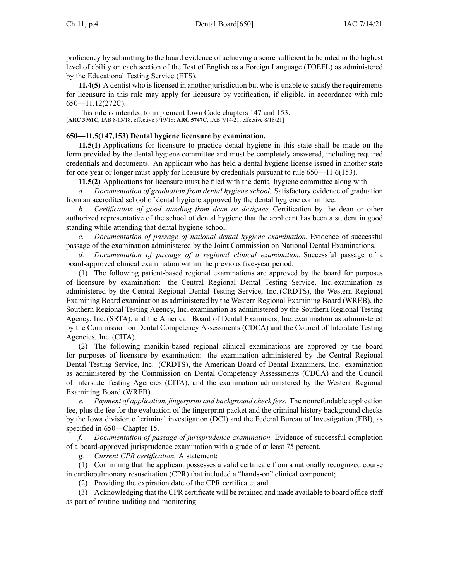proficiency by submitting to the board evidence of achieving <sup>a</sup> score sufficient to be rated in the highest level of ability on each section of the Test of English as <sup>a</sup> Foreign Language (TOEFL) as administered by the Educational Testing Service (ETS).

**11.4(5)** A dentist who is licensed in another jurisdiction but who is unable to satisfy the requirements for licensure in this rule may apply for licensure by verification, if eligible, in accordance with rule [650—11.12](https://www.legis.iowa.gov/docs/iac/rule/650.11.12.pdf)(272C).

This rule is intended to implement Iowa Code chapters [147](https://www.legis.iowa.gov/docs/ico/chapter/2018/147.pdf) and [153](https://www.legis.iowa.gov/docs/ico/chapter/153.pdf). [**ARC [3961C](https://www.legis.iowa.gov/docs/aco/arc/3961C.pdf)**, IAB 8/15/18, effective 9/19/18; **ARC [5747C](https://www.legis.iowa.gov/docs/aco/arc/5747C.pdf)**, IAB 7/14/21, effective 8/18/21]

### **650—11.5(147,153) Dental hygiene licensure by examination.**

**11.5(1)** Applications for licensure to practice dental hygiene in this state shall be made on the form provided by the dental hygiene committee and must be completely answered, including required credentials and documents. An applicant who has held <sup>a</sup> dental hygiene license issued in another state for one year or longer must apply for licensure by credentials pursuan<sup>t</sup> to rule [650—11.6](https://www.legis.iowa.gov/docs/iac/rule/650.11.6.pdf)(153).

**11.5(2)** Applications for licensure must be filed with the dental hygiene committee along with:

*a. Documentation of graduation from dental hygiene school.* Satisfactory evidence of graduation from an accredited school of dental hygiene approved by the dental hygiene committee.

*b. Certification of good standing from dean or designee.* Certification by the dean or other authorized representative of the school of dental hygiene that the applicant has been <sup>a</sup> student in good standing while attending that dental hygiene school.

*c. Documentation of passage of national dental hygiene examination.* Evidence of successful passage of the examination administered by the Joint Commission on National Dental Examinations.

*d. Documentation of passage of <sup>a</sup> regional clinical examination.* Successful passage of <sup>a</sup> board-approved clinical examination within the previous five-year period.

(1) The following patient-based regional examinations are approved by the board for purposes of licensure by examination: the Central Regional Dental Testing Service, Inc. examination as administered by the Central Regional Dental Testing Service, Inc. (CRDTS), the Western Regional Examining Board examination as administered by the Western Regional Examining Board (WREB), the Southern Regional Testing Agency, Inc. examination as administered by the Southern Regional Testing Agency, Inc. (SRTA), and the American Board of Dental Examiners, Inc. examination as administered by the Commission on Dental Competency Assessments (CDCA) and the Council of Interstate Testing Agencies, Inc. (CITA).

(2) The following manikin-based regional clinical examinations are approved by the board for purposes of licensure by examination: the examination administered by the Central Regional Dental Testing Service, Inc. (CRDTS), the American Board of Dental Examiners, Inc. examination as administered by the Commission on Dental Competency Assessments (CDCA) and the Council of Interstate Testing Agencies (CITA), and the examination administered by the Western Regional Examining Board (WREB).

*e. Payment of application, fingerprint and background check fees.* The nonrefundable application fee, plus the fee for the evaluation of the fingerprint packet and the criminal history background checks by the Iowa division of criminal investigation (DCI) and the Federal Bureau of Investigation (FBI), as specified in [650—Chapter](https://www.legis.iowa.gov/docs/iac/chapter/650.15.pdf) 15.

*f. Documentation of passage of jurisprudence examination.* Evidence of successful completion of <sup>a</sup> board-approved jurisprudence examination with <sup>a</sup> grade of at least 75 percent.

*g. Current CPR certification.* A statement:

(1) Confirming that the applicant possesses <sup>a</sup> valid certificate from <sup>a</sup> nationally recognized course in cardiopulmonary resuscitation (CPR) that included <sup>a</sup> "hands-on" clinical component;

(2) Providing the expiration date of the CPR certificate; and

(3) Acknowledging that the CPR certificate will be retained and made available to board office staff as par<sup>t</sup> of routine auditing and monitoring.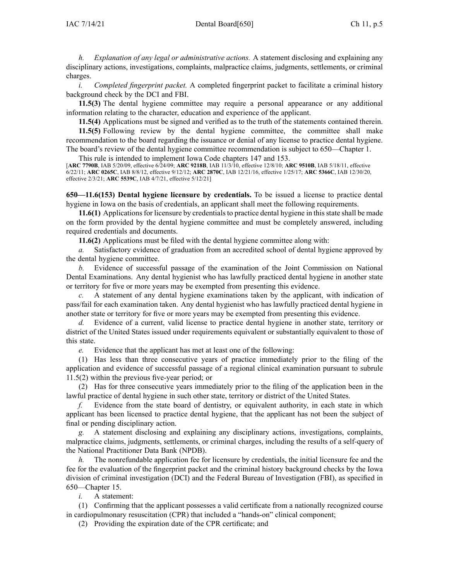*h. Explanation of any legal or administrative actions.* A statement disclosing and explaining any disciplinary actions, investigations, complaints, malpractice claims, judgments, settlements, or criminal charges.

*i. Completed fingerprint packet.* A completed fingerprint packet to facilitate <sup>a</sup> criminal history background check by the DCI and FBI.

**11.5(3)** The dental hygiene committee may require <sup>a</sup> personal appearance or any additional information relating to the character, education and experience of the applicant.

**11.5(4)** Applications must be signed and verified as to the truth of the statements contained therein.

**11.5(5)** Following review by the dental hygiene committee, the committee shall make recommendation to the board regarding the issuance or denial of any license to practice dental hygiene. The board's review of the dental hygiene committee recommendation is subject to [650—Chapter](https://www.legis.iowa.gov/docs/iac/chapter/650.1.pdf) 1.

This rule is intended to implement Iowa Code chapters [147](https://www.legis.iowa.gov/docs/ico/chapter/147.pdf) and [153](https://www.legis.iowa.gov/docs/ico/chapter/153.pdf).

[**ARC [7790B](https://www.legis.iowa.gov/docs/aco/arc/7790B.pdf)**, IAB 5/20/09, effective 6/24/09; **ARC [9218B](https://www.legis.iowa.gov/docs/aco/arc/9218B.pdf)**, IAB 11/3/10, effective 12/8/10; **ARC [9510B](https://www.legis.iowa.gov/docs/aco/arc/9510B.pdf)**, IAB 5/18/11, effective 6/22/11; **ARC [0265C](https://www.legis.iowa.gov/docs/aco/arc/0265C.pdf)**, IAB 8/8/12, effective 9/12/12; **ARC [2870C](https://www.legis.iowa.gov/docs/aco/arc/2870C.pdf)**, IAB 12/21/16, effective 1/25/17; **ARC [5366C](https://www.legis.iowa.gov/docs/aco/arc/5366C.pdf)**, IAB 12/30/20, effective 2/3/21; **ARC [5539C](https://www.legis.iowa.gov/docs/aco/arc/5539C.pdf)**, IAB 4/7/21, effective 5/12/21]

**650—11.6(153) Dental hygiene licensure by credentials.** To be issued <sup>a</sup> license to practice dental hygiene in Iowa on the basis of credentials, an applicant shall meet the following requirements.

**11.6(1)** Applications for licensure by credentials to practice dental hygiene in this state shall be made on the form provided by the dental hygiene committee and must be completely answered, including required credentials and documents.

**11.6(2)** Applications must be filed with the dental hygiene committee along with:

*a.* Satisfactory evidence of graduation from an accredited school of dental hygiene approved by the dental hygiene committee.

*b.* Evidence of successful passage of the examination of the Joint Commission on National Dental Examinations. Any dental hygienist who has lawfully practiced dental hygiene in another state or territory for five or more years may be exempted from presenting this evidence.

*c.* A statement of any dental hygiene examinations taken by the applicant, with indication of pass/fail for each examination taken. Any dental hygienist who has lawfully practiced dental hygiene in another state or territory for five or more years may be exempted from presenting this evidence.

*d.* Evidence of <sup>a</sup> current, valid license to practice dental hygiene in another state, territory or district of the United States issued under requirements equivalent or substantially equivalent to those of this state.

*e.* Evidence that the applicant has met at least one of the following:

(1) Has less than three consecutive years of practice immediately prior to the filing of the application and evidence of successful passage of <sup>a</sup> regional clinical examination pursuan<sup>t</sup> to [subrule](https://www.legis.iowa.gov/docs/iac/rule/650.11.5.pdf) [11.5\(2\)](https://www.legis.iowa.gov/docs/iac/rule/650.11.5.pdf) within the previous five-year period; or

(2) Has for three consecutive years immediately prior to the filing of the application been in the lawful practice of dental hygiene in such other state, territory or district of the United States.

*f.* Evidence from the state board of dentistry, or equivalent authority, in each state in which applicant has been licensed to practice dental hygiene, that the applicant has not been the subject of final or pending disciplinary action.

*g.* A statement disclosing and explaining any disciplinary actions, investigations, complaints, malpractice claims, judgments, settlements, or criminal charges, including the results of <sup>a</sup> self-query of the National Practitioner Data Bank (NPDB).

*h.* The nonrefundable application fee for licensure by credentials, the initial licensure fee and the fee for the evaluation of the fingerprint packet and the criminal history background checks by the Iowa division of criminal investigation (DCI) and the Federal Bureau of Investigation (FBI), as specified in [650—Chapter](https://www.legis.iowa.gov/docs/iac/chapter/650.15.pdf) 15.

*i.* A statement:

(1) Confirming that the applicant possesses <sup>a</sup> valid certificate from <sup>a</sup> nationally recognized course in cardiopulmonary resuscitation (CPR) that included <sup>a</sup> "hands-on" clinical component;

(2) Providing the expiration date of the CPR certificate; and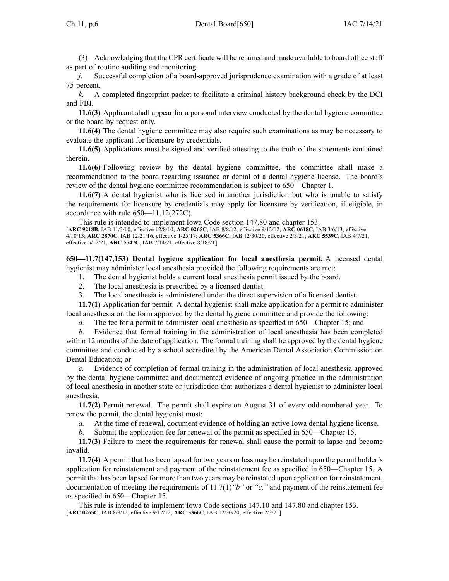(3) Acknowledging that the CPR certificate will be retained and made available to board office staff as par<sup>t</sup> of routine auditing and monitoring.

*j.* Successful completion of <sup>a</sup> board-approved jurisprudence examination with <sup>a</sup> grade of at least 75 percent.

*k.* A completed fingerprint packet to facilitate <sup>a</sup> criminal history background check by the DCI and FBI.

**11.6(3)** Applicant shall appear for <sup>a</sup> personal interview conducted by the dental hygiene committee or the board by reques<sup>t</sup> only.

**11.6(4)** The dental hygiene committee may also require such examinations as may be necessary to evaluate the applicant for licensure by credentials.

**11.6(5)** Applications must be signed and verified attesting to the truth of the statements contained therein.

**11.6(6)** Following review by the dental hygiene committee, the committee shall make <sup>a</sup> recommendation to the board regarding issuance or denial of <sup>a</sup> dental hygiene license. The board's review of the dental hygiene committee recommendation is subject to [650—Chapter](https://www.legis.iowa.gov/docs/iac/chapter/650.1.pdf) 1.

**11.6(7)** A dental hygienist who is licensed in another jurisdiction but who is unable to satisfy the requirements for licensure by credentials may apply for licensure by verification, if eligible, in accordance with rule [650—11.12\(](https://www.legis.iowa.gov/docs/iac/rule/650.11.12.pdf)272C).

This rule is intended to implement Iowa Code section [147.80](https://www.legis.iowa.gov/docs/ico/section/147.80.pdf) and chapter [153](https://www.legis.iowa.gov/docs/ico/chapter/153.pdf). [**ARC [9218B](https://www.legis.iowa.gov/docs/aco/arc/9218B.pdf)**, IAB 11/3/10, effective 12/8/10; **ARC [0265C](https://www.legis.iowa.gov/docs/aco/arc/0265C.pdf)**, IAB 8/8/12, effective 9/12/12; **ARC [0618C](https://www.legis.iowa.gov/docs/aco/arc/0618C.pdf)**, IAB 3/6/13, effective 4/10/13; **ARC [2870C](https://www.legis.iowa.gov/docs/aco/arc/2870C.pdf)**, IAB 12/21/16, effective 1/25/17; **ARC [5366C](https://www.legis.iowa.gov/docs/aco/arc/5366C.pdf)**, IAB 12/30/20, effective 2/3/21; **ARC [5539C](https://www.legis.iowa.gov/docs/aco/arc/5539C.pdf)**, IAB 4/7/21, effective 5/12/21; **ARC [5747C](https://www.legis.iowa.gov/docs/aco/arc/5747C.pdf)**, IAB 7/14/21, effective 8/18/21]

**650—11.7(147,153) Dental hygiene application for local anesthesia permit.** A licensed dental hygienist may administer local anesthesia provided the following requirements are met:

1. The dental hygienist holds <sup>a</sup> current local anesthesia permit issued by the board.

- 2. The local anesthesia is prescribed by <sup>a</sup> licensed dentist.
- 3. The local anesthesia is administered under the direct supervision of <sup>a</sup> licensed dentist.

**11.7(1)** Application for permit. A dental hygienist shall make application for <sup>a</sup> permit to administer local anesthesia on the form approved by the dental hygiene committee and provide the following:

*a.* The fee for <sup>a</sup> permit to administer local anesthesia as specified in [650—Chapter](https://www.legis.iowa.gov/docs/iac/chapter/650.15.pdf) 15; and

*b.* Evidence that formal training in the administration of local anesthesia has been completed within 12 months of the date of application. The formal training shall be approved by the dental hygiene committee and conducted by <sup>a</sup> school accredited by the American Dental Association Commission on Dental Education; or

*c.* Evidence of completion of formal training in the administration of local anesthesia approved by the dental hygiene committee and documented evidence of ongoing practice in the administration of local anesthesia in another state or jurisdiction that authorizes <sup>a</sup> dental hygienist to administer local anesthesia.

**11.7(2)** Permit renewal. The permit shall expire on August 31 of every odd-numbered year. To renew the permit, the dental hygienist must:

*a.* At the time of renewal, document evidence of holding an active Iowa dental hygiene license.

*b.* Submit the application fee for renewal of the permit as specified in [650—Chapter](https://www.legis.iowa.gov/docs/iac/chapter/650.15.pdf) 15.

**11.7(3)** Failure to meet the requirements for renewal shall cause the permit to lapse and become invalid.

**11.7(4)** A permit that has been lapsed for two years or less may be reinstated upon the permit holder's application for reinstatement and paymen<sup>t</sup> of the reinstatement fee as specified in [650—Chapter](https://www.legis.iowa.gov/docs/iac/chapter/650.15.pdf) 15. A permit that has been lapsed for more than two years may be reinstated upon application for reinstatement, documentation of meeting the requirements of [11.7\(1\)](https://www.legis.iowa.gov/docs/iac/rule/650.11.7.pdf)*"b"* or *"c,"* and paymen<sup>t</sup> of the reinstatement fee as specified in [650—Chapter](https://www.legis.iowa.gov/docs/iac/chapter/650.15.pdf) 15.

This rule is intended to implement Iowa Code sections [147.10](https://www.legis.iowa.gov/docs/ico/section/147.10.pdf) and [147.80](https://www.legis.iowa.gov/docs/ico/section/147.80.pdf) and chapter [153](https://www.legis.iowa.gov/docs/ico/chapter/153.pdf). [**ARC [0265C](https://www.legis.iowa.gov/docs/aco/arc/0265C.pdf)**, IAB 8/8/12, effective 9/12/12; **ARC [5366C](https://www.legis.iowa.gov/docs/aco/arc/5366C.pdf)**, IAB 12/30/20, effective 2/3/21]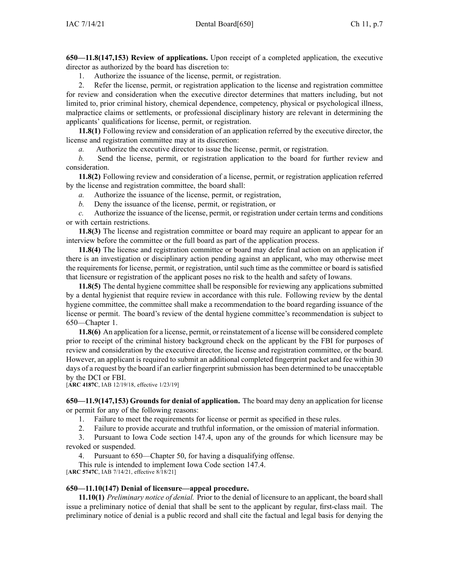**650—11.8(147,153) Review of applications.** Upon receipt of <sup>a</sup> completed application, the executive director as authorized by the board has discretion to:

1. Authorize the issuance of the license, permit, or registration.

2. Refer the license, permit, or registration application to the license and registration committee for review and consideration when the executive director determines that matters including, but not limited to, prior criminal history, chemical dependence, competency, physical or psychological illness, malpractice claims or settlements, or professional disciplinary history are relevant in determining the applicants' qualifications for license, permit, or registration.

**11.8(1)** Following review and consideration of an application referred by the executive director, the license and registration committee may at its discretion:

*a.* Authorize the executive director to issue the license, permit, or registration.

*b.* Send the license, permit, or registration application to the board for further review and consideration.

**11.8(2)** Following review and consideration of <sup>a</sup> license, permit, or registration application referred by the license and registration committee, the board shall:

*a.* Authorize the issuance of the license, permit, or registration,

*b.* Deny the issuance of the license, permit, or registration, or

*c.* Authorize the issuance of the license, permit, or registration under certain terms and conditions or with certain restrictions.

**11.8(3)** The license and registration committee or board may require an applicant to appear for an interview before the committee or the full board as par<sup>t</sup> of the application process.

**11.8(4)** The license and registration committee or board may defer final action on an application if there is an investigation or disciplinary action pending against an applicant, who may otherwise meet the requirements for license, permit, or registration, until such time as the committee or board is satisfied that licensure or registration of the applicant poses no risk to the health and safety of Iowans.

**11.8(5)** The dental hygiene committee shall be responsible for reviewing any applications submitted by <sup>a</sup> dental hygienist that require review in accordance with this rule. Following review by the dental hygiene committee, the committee shall make <sup>a</sup> recommendation to the board regarding issuance of the license or permit. The board's review of the dental hygiene committee's recommendation is subject to [650—Chapter](https://www.legis.iowa.gov/docs/iac/chapter/650.1.pdf) 1.

**11.8(6)** An application for <sup>a</sup> license, permit, or reinstatement of <sup>a</sup> license will be considered complete prior to receipt of the criminal history background check on the applicant by the FBI for purposes of review and consideration by the executive director, the license and registration committee, or the board. However, an applicant is required to submit an additional completed fingerprint packet and fee within 30 days of a request by the board if an earlier fingerprint submission has been determined to be unacceptable by the DCI or FBI.

[**ARC [4187C](https://www.legis.iowa.gov/docs/aco/arc/4187C.pdf)**, IAB 12/19/18, effective 1/23/19]

**650—11.9(147,153) Grounds for denial of application.** The board may deny an application for license or permit for any of the following reasons:

1. Failure to meet the requirements for license or permit as specified in these rules.

2. Failure to provide accurate and truthful information, or the omission of material information.

3. Pursuant to Iowa Code section [147.4](https://www.legis.iowa.gov/docs/ico/section/147.4.pdf), upon any of the grounds for which licensure may be revoked or suspended.

4. Pursuant to 650—Chapter 50, for having <sup>a</sup> disqualifying offense.

This rule is intended to implement Iowa Code section [147.4](https://www.legis.iowa.gov/docs/ico/section/147.4.pdf).

[**ARC [5747C](https://www.legis.iowa.gov/docs/aco/arc/5747C.pdf)**, IAB 7/14/21, effective 8/18/21]

# **650—11.10(147) Denial of licensure—appeal procedure.**

**11.10(1)** *Preliminary notice of denial.* Prior to the denial of licensure to an applicant, the board shall issue <sup>a</sup> preliminary notice of denial that shall be sent to the applicant by regular, first-class mail. The preliminary notice of denial is <sup>a</sup> public record and shall cite the factual and legal basis for denying the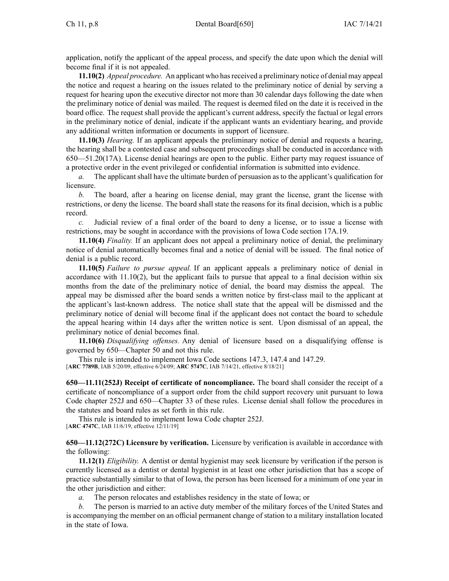application, notify the applicant of the appeal process, and specify the date upon which the denial will become final if it is not appealed.

**11.10(2)** *Appeal procedure.* An applicant who hasreceived <sup>a</sup> preliminary notice of denial may appeal the notice and reques<sup>t</sup> <sup>a</sup> hearing on the issues related to the preliminary notice of denial by serving <sup>a</sup> reques<sup>t</sup> for hearing upon the executive director not more than 30 calendar days following the date when the preliminary notice of denial was mailed. The reques<sup>t</sup> is deemed filed on the date it is received in the board office. The reques<sup>t</sup> shall provide the applicant's current address, specify the factual or legal errors in the preliminary notice of denial, indicate if the applicant wants an evidentiary hearing, and provide any additional written information or documents in suppor<sup>t</sup> of licensure.

**11.10(3)** *Hearing.* If an applicant appeals the preliminary notice of denial and requests <sup>a</sup> hearing, the hearing shall be <sup>a</sup> contested case and subsequent proceedings shall be conducted in accordance with [650—51.20](https://www.legis.iowa.gov/docs/iac/rule/650.51.20.pdf)(17A). License denial hearings are open to the public. Either party may reques<sup>t</sup> issuance of <sup>a</sup> protective order in the event privileged or confidential information is submitted into evidence.

*a.* The applicant shall have the ultimate burden of persuasion as to the applicant's qualification for licensure.

*b.* The board, after <sup>a</sup> hearing on license denial, may gran<sup>t</sup> the license, gran<sup>t</sup> the license with restrictions, or deny the license. The board shall state the reasons for its final decision, which is <sup>a</sup> public record.

*c.* Judicial review of <sup>a</sup> final order of the board to deny <sup>a</sup> license, or to issue <sup>a</sup> license with restrictions, may be sought in accordance with the provisions of Iowa Code section [17A.19](https://www.legis.iowa.gov/docs/ico/section/17A.19.pdf).

**11.10(4)** *Finality.* If an applicant does not appeal <sup>a</sup> preliminary notice of denial, the preliminary notice of denial automatically becomes final and <sup>a</sup> notice of denial will be issued. The final notice of denial is <sup>a</sup> public record.

**11.10(5)** *Failure to pursue appeal.* If an applicant appeals <sup>a</sup> preliminary notice of denial in accordance with [11.10\(2\)](https://www.legis.iowa.gov/docs/iac/rule/650.11.10.pdf), but the applicant fails to pursue that appeal to <sup>a</sup> final decision within six months from the date of the preliminary notice of denial, the board may dismiss the appeal. The appeal may be dismissed after the board sends <sup>a</sup> written notice by first-class mail to the applicant at the applicant's last-known address. The notice shall state that the appeal will be dismissed and the preliminary notice of denial will become final if the applicant does not contact the board to schedule the appeal hearing within 14 days after the written notice is sent. Upon dismissal of an appeal, the preliminary notice of denial becomes final.

**11.10(6)** *Disqualifying offenses.* Any denial of licensure based on <sup>a</sup> disqualifying offense is governed by [650—Chapter](https://www.legis.iowa.gov/docs/iac/chapter/650.50.pdf) 50 and not this rule.

This rule is intended to implement Iowa Code sections [147.3](https://www.legis.iowa.gov/docs/ico/section/147.3.pdf), [147.4](https://www.legis.iowa.gov/docs/ico/section/147.4.pdf) and [147.29](https://www.legis.iowa.gov/docs/ico/section/147.29.pdf). [**ARC [7789B](https://www.legis.iowa.gov/docs/aco/arc/7789B.pdf)**, IAB 5/20/09, effective 6/24/09; **ARC [5747C](https://www.legis.iowa.gov/docs/aco/arc/5747C.pdf)**, IAB 7/14/21, effective 8/18/21]

**650—11.11(252J) Receipt of certificate of noncompliance.** The board shall consider the receipt of <sup>a</sup> certificate of noncompliance of <sup>a</sup> suppor<sup>t</sup> order from the child suppor<sup>t</sup> recovery unit pursuan<sup>t</sup> to Iowa Code chapter [252J](https://www.legis.iowa.gov/docs/ico/chapter/252J.pdf) and [650—Chapter](https://www.legis.iowa.gov/docs/iac/chapter/650.33.pdf) 33 of these rules. License denial shall follow the procedures in the statutes and board rules as set forth in this rule.

This rule is intended to implement Iowa Code chapter [252J](https://www.legis.iowa.gov/docs/ico/chapter/252J.pdf). [**ARC [4747C](https://www.legis.iowa.gov/docs/aco/arc/4747C.pdf)**, IAB 11/6/19, effective 12/11/19]

**650—11.12(272C) Licensure by verification.** Licensure by verification is available in accordance with the following:

**11.12(1)** *Eligibility.* A dentist or dental hygienist may seek licensure by verification if the person is currently licensed as <sup>a</sup> dentist or dental hygienist in at least one other jurisdiction that has <sup>a</sup> scope of practice substantially similar to that of Iowa, the person has been licensed for <sup>a</sup> minimum of one year in the other jurisdiction and either:

*a.* The person relocates and establishes residency in the state of Iowa; or

*b.* The person is married to an active duty member of the military forces of the United States and is accompanying the member on an official permanen<sup>t</sup> change of station to <sup>a</sup> military installation located in the state of Iowa.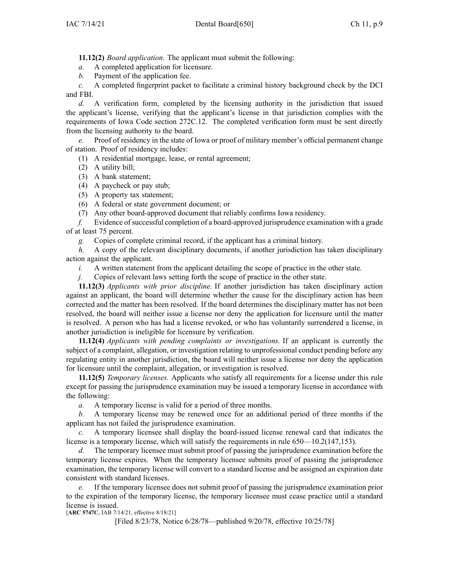**11.12(2)** *Board application.* The applicant must submit the following:

*a.* A completed application for licensure.

*b.* Payment of the application fee.

*c.* A completed fingerprint packet to facilitate <sup>a</sup> criminal history background check by the DCI and FBI.

*d.* A verification form, completed by the licensing authority in the jurisdiction that issued the applicant's license, verifying that the applicant's license in that jurisdiction complies with the requirements of Iowa Code section [272C.12](https://www.legis.iowa.gov/docs/ico/section/272C.12.pdf). The completed verification form must be sent directly from the licensing authority to the board.

*e.* Proof of residency in the state of Iowa or proof of military member's official permanen<sup>t</sup> change of station. Proof of residency includes:

(1) A residential mortgage, lease, or rental agreement;

- (2) A utility bill;
- (3) A bank statement;
- (4) A paycheck or pay stub;
- (5) A property tax statement;
- (6) A federal or state governmen<sup>t</sup> document; or
- (7) Any other board-approved document that reliably confirms Iowa residency.

*f.* Evidence of successful completion of a board-approved jurisprudence examination with a grade of at least 75 percent.

*g.* Copies of complete criminal record, if the applicant has <sup>a</sup> criminal history.

*h.* A copy of the relevant disciplinary documents, if another jurisdiction has taken disciplinary action against the applicant.

*i.* A written statement from the applicant detailing the scope of practice in the other state.

*j.* Copies of relevant laws setting forth the scope of practice in the other state.

**11.12(3)** *Applicants with prior discipline.* If another jurisdiction has taken disciplinary action against an applicant, the board will determine whether the cause for the disciplinary action has been corrected and the matter has been resolved. If the board determines the disciplinary matter has not been resolved, the board will neither issue <sup>a</sup> license nor deny the application for licensure until the matter is resolved. A person who has had <sup>a</sup> license revoked, or who has voluntarily surrendered <sup>a</sup> license, in another jurisdiction is ineligible for licensure by verification.

**11.12(4)** *Applicants with pending complaints or investigations.* If an applicant is currently the subject of <sup>a</sup> complaint, allegation, or investigation relating to unprofessional conduct pending before any regulating entity in another jurisdiction, the board will neither issue <sup>a</sup> license nor deny the application for licensure until the complaint, allegation, or investigation is resolved.

**11.12(5)** *Temporary licenses.* Applicants who satisfy all requirements for <sup>a</sup> license under this rule excep<sup>t</sup> for passing the jurisprudence examination may be issued <sup>a</sup> temporary license in accordance with the following:

*a.* A temporary license is valid for <sup>a</sup> period of three months.

*b.* A temporary license may be renewed once for an additional period of three months if the applicant has not failed the jurisprudence examination.

*c.* A temporary licensee shall display the board-issued license renewal card that indicates the license is a temporary license, which will satisfy the requirements in rule [650—10.2](https://www.legis.iowa.gov/docs/iac/rule/650.10.2.pdf)(147,153).

*d.* The temporary licensee must submit proof of passing the jurisprudence examination before the temporary license expires. When the temporary licensee submits proof of passing the jurisprudence examination, the temporary license will convert to <sup>a</sup> standard license and be assigned an expiration date consistent with standard licenses.

*e.* If the temporary licensee does not submit proof of passing the jurisprudence examination prior to the expiration of the temporary license, the temporary licensee must cease practice until <sup>a</sup> standard license is issued.

[**ARC [5747C](https://www.legis.iowa.gov/docs/aco/arc/5747C.pdf)**, IAB 7/14/21, effective 8/18/21]

[Filed 8/23/78, Notice 6/28/78—published 9/20/78, effective 10/25/78]